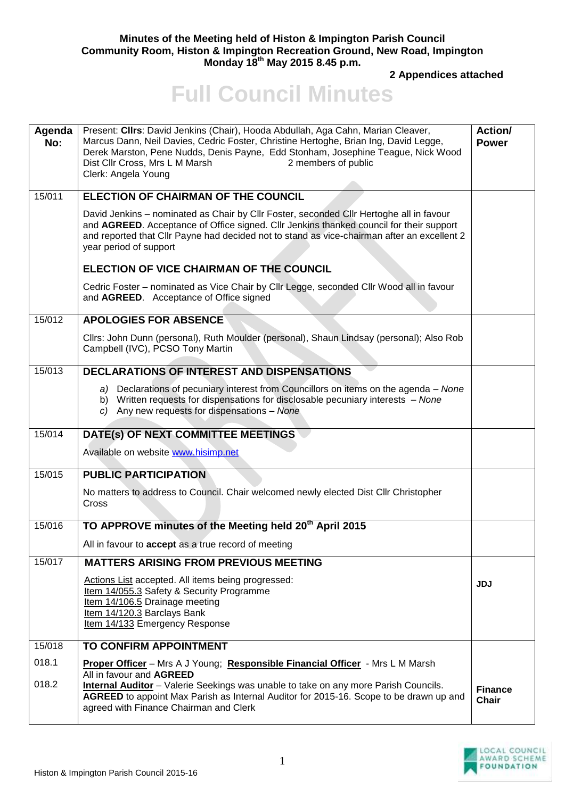## **Minutes of the Meeting held of Histon & Impington Parish Council Community Room, Histon & Impington Recreation Ground, New Road, Impington Monday 18th May 2015 8.45 p.m.**

**2 Appendices attached** 

## **Full Council Minutes**

| Agenda<br>No: | Present: Clirs: David Jenkins (Chair), Hooda Abdullah, Aga Cahn, Marian Cleaver,<br>Marcus Dann, Neil Davies, Cedric Foster, Christine Hertoghe, Brian Ing, David Legge,<br>Derek Marston, Pene Nudds, Denis Payne, Edd Stonham, Josephine Teague, Nick Wood<br>Dist Cllr Cross, Mrs L M Marsh<br>2 members of public<br>Clerk: Angela Young | Action/<br><b>Power</b>        |
|---------------|----------------------------------------------------------------------------------------------------------------------------------------------------------------------------------------------------------------------------------------------------------------------------------------------------------------------------------------------|--------------------------------|
| 15/011        | <b>ELECTION OF CHAIRMAN OF THE COUNCIL</b>                                                                                                                                                                                                                                                                                                   |                                |
|               | David Jenkins - nominated as Chair by Cllr Foster, seconded Cllr Hertoghe all in favour<br>and AGREED. Acceptance of Office signed. Cllr Jenkins thanked council for their support<br>and reported that Cllr Payne had decided not to stand as vice-chairman after an excellent 2<br>year period of support                                  |                                |
|               | ELECTION OF VICE CHAIRMAN OF THE COUNCIL                                                                                                                                                                                                                                                                                                     |                                |
|               | Cedric Foster - nominated as Vice Chair by Cllr Legge, seconded Cllr Wood all in favour<br>and AGREED. Acceptance of Office signed                                                                                                                                                                                                           |                                |
| 15/012        | <b>APOLOGIES FOR ABSENCE</b>                                                                                                                                                                                                                                                                                                                 |                                |
|               | Cllrs: John Dunn (personal), Ruth Moulder (personal), Shaun Lindsay (personal); Also Rob<br>Campbell (IVC), PCSO Tony Martin                                                                                                                                                                                                                 |                                |
| 15/013        | <b>DECLARATIONS OF INTEREST AND DISPENSATIONS</b>                                                                                                                                                                                                                                                                                            |                                |
|               | a) Declarations of pecuniary interest from Councillors on items on the agenda – None<br>b) Written requests for dispensations for disclosable pecuniary interests - None<br>c) Any new requests for dispensations - None                                                                                                                     |                                |
| 15/014        | DATE(s) OF NEXT COMMITTEE MEETINGS                                                                                                                                                                                                                                                                                                           |                                |
|               | Available on website www.hisimp.net                                                                                                                                                                                                                                                                                                          |                                |
| 15/015        | <b>PUBLIC PARTICIPATION</b>                                                                                                                                                                                                                                                                                                                  |                                |
|               | No matters to address to Council. Chair welcomed newly elected Dist Cllr Christopher<br>Cross                                                                                                                                                                                                                                                |                                |
| 15/016        | TO APPROVE minutes of the Meeting held 20 <sup>th</sup> April 2015                                                                                                                                                                                                                                                                           |                                |
|               | All in favour to <b>accept</b> as a true record of meeting                                                                                                                                                                                                                                                                                   |                                |
| 15/017        | <b>MATTERS ARISING FROM PREVIOUS MEETING</b>                                                                                                                                                                                                                                                                                                 |                                |
|               | Actions List accepted. All items being progressed:<br>Item 14/055.3 Safety & Security Programme<br>Item 14/106.5 Drainage meeting<br>Item 14/120.3 Barclays Bank<br>Item 14/133 Emergency Response                                                                                                                                           | <b>JDJ</b>                     |
| 15/018        | TO CONFIRM APPOINTMENT                                                                                                                                                                                                                                                                                                                       |                                |
| 018.1         | Proper Officer - Mrs A J Young; Responsible Financial Officer - Mrs L M Marsh                                                                                                                                                                                                                                                                |                                |
| 018.2         | All in favour and AGREED<br><b>Internal Auditor</b> - Valerie Seekings was unable to take on any more Parish Councils.<br>AGREED to appoint Max Parish as Internal Auditor for 2015-16. Scope to be drawn up and<br>agreed with Finance Chairman and Clerk                                                                                   | <b>Finance</b><br><b>Chair</b> |

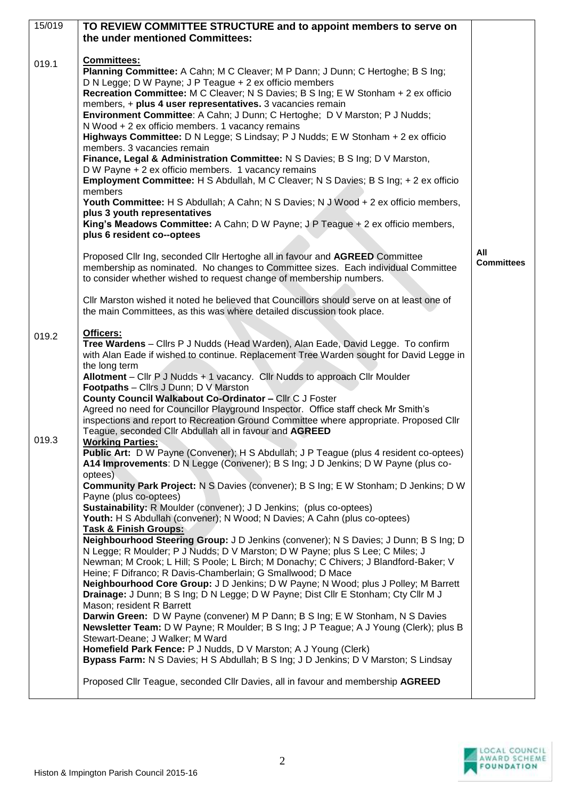| 15/019 | TO REVIEW COMMITTEE STRUCTURE and to appoint members to serve on                                                                                                                                                                                                                                                                                                                                                                                                                                                                                                                                                                                                                                                                                                                                                                                                                                                                                                                                                                                           |                   |
|--------|------------------------------------------------------------------------------------------------------------------------------------------------------------------------------------------------------------------------------------------------------------------------------------------------------------------------------------------------------------------------------------------------------------------------------------------------------------------------------------------------------------------------------------------------------------------------------------------------------------------------------------------------------------------------------------------------------------------------------------------------------------------------------------------------------------------------------------------------------------------------------------------------------------------------------------------------------------------------------------------------------------------------------------------------------------|-------------------|
|        | the under mentioned Committees:                                                                                                                                                                                                                                                                                                                                                                                                                                                                                                                                                                                                                                                                                                                                                                                                                                                                                                                                                                                                                            |                   |
| 019.1  | Committees:<br>Planning Committee: A Cahn; M C Cleaver; M P Dann; J Dunn; C Hertoghe; B S Ing;<br>D N Legge; D W Payne; J P Teague + 2 ex officio members<br>Recreation Committee: M C Cleaver; N S Davies; B S Ing; E W Stonham + 2 ex officio<br>members, + plus 4 user representatives. 3 vacancies remain<br>Environment Committee: A Cahn; J Dunn; C Hertoghe; D V Marston; P J Nudds;<br>N Wood + 2 ex officio members. 1 vacancy remains<br>Highways Committee: D N Legge; S Lindsay; P J Nudds; E W Stonham + 2 ex officio<br>members. 3 vacancies remain<br>Finance, Legal & Administration Committee: N S Davies; B S Ing; D V Marston,<br>D W Payne + 2 ex officio members. 1 vacancy remains<br><b>Employment Committee:</b> H S Abdullah, M C Cleaver; N S Davies; B S Ing; + 2 ex officio<br>members<br>Youth Committee: H S Abdullah; A Cahn; N S Davies; N J Wood + 2 ex officio members,<br>plus 3 youth representatives<br>King's Meadows Committee: A Cahn; D W Payne; J P Teague + 2 ex officio members,<br>plus 6 resident co--optees | All               |
|        | Proposed Cllr Ing, seconded Cllr Hertoghe all in favour and AGREED Committee<br>membership as nominated. No changes to Committee sizes. Each individual Committee<br>to consider whether wished to request change of membership numbers.                                                                                                                                                                                                                                                                                                                                                                                                                                                                                                                                                                                                                                                                                                                                                                                                                   | <b>Committees</b> |
|        | CIIr Marston wished it noted he believed that Councillors should serve on at least one of<br>the main Committees, as this was where detailed discussion took place.                                                                                                                                                                                                                                                                                                                                                                                                                                                                                                                                                                                                                                                                                                                                                                                                                                                                                        |                   |
| 019.2  | Officers:<br>Tree Wardens - Cllrs P J Nudds (Head Warden), Alan Eade, David Legge. To confirm<br>with Alan Eade if wished to continue. Replacement Tree Warden sought for David Legge in<br>the long term<br>Allotment - Cllr P J Nudds + 1 vacancy. Cllr Nudds to approach Cllr Moulder<br><b>Footpaths</b> - Clirs J Dunn; $D V$ Marston<br>County Council Walkabout Co-Ordinator - Cllr C J Foster<br>Agreed no need for Councillor Playground Inspector. Office staff check Mr Smith's<br>inspections and report to Recreation Ground Committee where appropriate. Proposed Cllr<br>Teague, seconded Cllr Abdullah all in favour and AGREED                                                                                                                                                                                                                                                                                                                                                                                                            |                   |
| 019.3  | <b>Working Parties:</b><br>Public Art: D W Payne (Convener); H S Abdullah; J P Teague (plus 4 resident co-optees)<br>A14 Improvements: D N Legge (Convener); B S Ing; J D Jenkins; D W Payne (plus co-<br>optees)                                                                                                                                                                                                                                                                                                                                                                                                                                                                                                                                                                                                                                                                                                                                                                                                                                          |                   |
|        | <b>Community Park Project: N S Davies (convener); B S Ing; E W Stonham; D Jenkins; D W</b><br>Payne (plus co-optees)<br>Sustainability: R Moulder (convener); J D Jenkins; (plus co-optees)<br>Youth: H S Abdullah (convener); N Wood; N Davies; A Cahn (plus co-optees)<br><b>Task &amp; Finish Groups:</b>                                                                                                                                                                                                                                                                                                                                                                                                                                                                                                                                                                                                                                                                                                                                               |                   |
|        | Neighbourhood Steering Group: J D Jenkins (convener); N S Davies; J Dunn; B S Ing; D<br>N Legge; R Moulder; P J Nudds; D V Marston; D W Payne; plus S Lee; C Miles; J<br>Newman; M Crook; L Hill; S Poole; L Birch; M Donachy; C Chivers; J Blandford-Baker; V<br>Heine; F Difranco; R Davis-Chamberlain; G Smallwood; D Mace<br>Neighbourhood Core Group: J D Jenkins; D W Payne; N Wood; plus J Polley; M Barrett<br>Drainage: J Dunn; B S Ing; D N Legge; D W Payne; Dist Cllr E Stonham; Cty Cllr M J<br>Mason; resident R Barrett                                                                                                                                                                                                                                                                                                                                                                                                                                                                                                                     |                   |
|        | Darwin Green: D W Payne (convener) M P Dann; B S Ing; E W Stonham, N S Davies<br>Newsletter Team: D W Payne; R Moulder; B S Ing; J P Teague; A J Young (Clerk); plus B<br>Stewart-Deane; J Walker; M Ward<br>Homefield Park Fence: P J Nudds, D V Marston; A J Young (Clerk)<br>Bypass Farm: N S Davies; H S Abdullah; B S Ing; J D Jenkins; D V Marston; S Lindsay                                                                                                                                                                                                                                                                                                                                                                                                                                                                                                                                                                                                                                                                                        |                   |
|        | Proposed Cllr Teague, seconded Cllr Davies, all in favour and membership AGREED                                                                                                                                                                                                                                                                                                                                                                                                                                                                                                                                                                                                                                                                                                                                                                                                                                                                                                                                                                            |                   |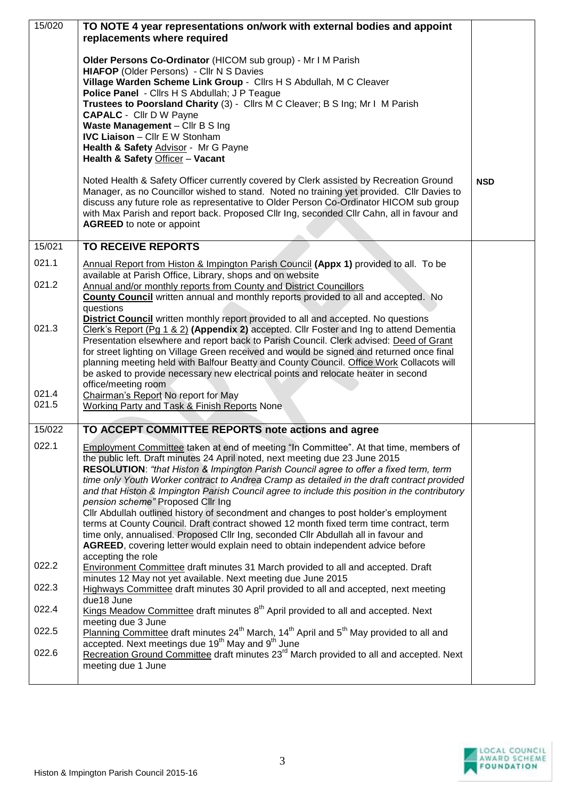| 15/020 | TO NOTE 4 year representations on/work with external bodies and appoint                                                                                                                                  |            |
|--------|----------------------------------------------------------------------------------------------------------------------------------------------------------------------------------------------------------|------------|
|        | replacements where required                                                                                                                                                                              |            |
|        | Older Persons Co-Ordinator (HICOM sub group) - Mr I M Parish                                                                                                                                             |            |
|        | <b>HIAFOP (Older Persons) - Cllr N S Davies</b><br>Village Warden Scheme Link Group - Cllrs H S Abdullah, M C Cleaver                                                                                    |            |
|        | Police Panel - Cllrs H S Abdullah; J P Teague                                                                                                                                                            |            |
|        | Trustees to Poorsland Charity (3) - Cllrs M C Cleaver; B S Ing; Mr I M Parish<br><b>CAPALC</b> - Cllr D W Payne                                                                                          |            |
|        | Waste Management - Cllr B S Ing                                                                                                                                                                          |            |
|        | <b>IVC Liaison - Cllr E W Stonham</b><br>Health & Safety Advisor - Mr G Payne                                                                                                                            |            |
|        | Health & Safety Officer - Vacant                                                                                                                                                                         |            |
|        | Noted Health & Safety Officer currently covered by Clerk assisted by Recreation Ground                                                                                                                   | <b>NSD</b> |
|        | Manager, as no Councillor wished to stand. Noted no training yet provided. Cllr Davies to                                                                                                                |            |
|        | discuss any future role as representative to Older Person Co-Ordinator HICOM sub group<br>with Max Parish and report back. Proposed Cllr Ing, seconded Cllr Cahn, all in favour and                      |            |
|        | <b>AGREED</b> to note or appoint                                                                                                                                                                         |            |
| 15/021 | <b>TO RECEIVE REPORTS</b>                                                                                                                                                                                |            |
| 021.1  | Annual Report from Histon & Impington Parish Council (Appx 1) provided to all. To be                                                                                                                     |            |
|        | available at Parish Office, Library, shops and on website                                                                                                                                                |            |
| 021.2  | Annual and/or monthly reports from County and District Councillors<br><b>County Council</b> written annual and monthly reports provided to all and accepted. No                                          |            |
|        | questions                                                                                                                                                                                                |            |
| 021.3  | <b>District Council</b> written monthly report provided to all and accepted. No questions<br>Clerk's Report (Pg 1 & 2) (Appendix 2) accepted. Cllr Foster and Ing to attend Dementia                     |            |
|        | Presentation elsewhere and report back to Parish Council. Clerk advised: Deed of Grant                                                                                                                   |            |
|        | for street lighting on Village Green received and would be signed and returned once final<br>planning meeting held with Balfour Beatty and County Council. Office Work Collacots will                    |            |
|        | be asked to provide necessary new electrical points and relocate heater in second                                                                                                                        |            |
| 021.4  | office/meeting room<br>Chairman's Report No report for May                                                                                                                                               |            |
| 021.5  | Working Party and Task & Finish Reports None                                                                                                                                                             |            |
| 15/022 | TO ACCEPT COMMITTEE REPORTS note actions and agree                                                                                                                                                       |            |
| 022.1  | Employment Committee taken at end of meeting "In Committee". At that time, members of                                                                                                                    |            |
|        | the public left. Draft minutes 24 April noted, next meeting due 23 June 2015                                                                                                                             |            |
|        | RESOLUTION: "that Histon & Impington Parish Council agree to offer a fixed term, term<br>time only Youth Worker contract to Andrea Cramp as detailed in the draft contract provided                      |            |
|        | and that Histon & Impington Parish Council agree to include this position in the contributory                                                                                                            |            |
|        | pension scheme" Proposed Cllr Ing<br>Cllr Abdullah outlined history of secondment and changes to post holder's employment                                                                                |            |
|        | terms at County Council. Draft contract showed 12 month fixed term time contract, term                                                                                                                   |            |
|        | time only, annualised. Proposed Cllr Ing, seconded Cllr Abdullah all in favour and<br>AGREED, covering letter would explain need to obtain independent advice before                                     |            |
|        | accepting the role                                                                                                                                                                                       |            |
| 022.2  | Environment Committee draft minutes 31 March provided to all and accepted. Draft<br>minutes 12 May not yet available. Next meeting due June 2015                                                         |            |
| 022.3  | Highways Committee draft minutes 30 April provided to all and accepted, next meeting                                                                                                                     |            |
| 022.4  | due18 June<br>Kings Meadow Committee draft minutes 8 <sup>th</sup> April provided to all and accepted. Next                                                                                              |            |
| 022.5  | meeting due 3 June                                                                                                                                                                                       |            |
|        | Planning Committee draft minutes 24 <sup>th</sup> March, 14 <sup>th</sup> April and 5 <sup>th</sup> May provided to all and<br>accepted. Next meetings due 19 <sup>th</sup> May and 9 <sup>th</sup> June |            |
| 022.6  | Recreation Ground Committee draft minutes 23 <sup>rd</sup> March provided to all and accepted. Next                                                                                                      |            |
|        | meeting due 1 June                                                                                                                                                                                       |            |
|        |                                                                                                                                                                                                          |            |